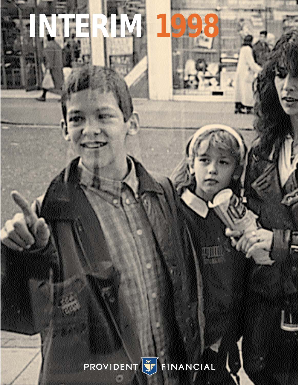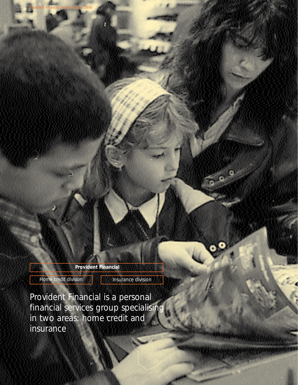**Provident Financial**

Home credit division **Insurance division** 

Provident Financial Interim Report 1998

 $\circ$ 

Provident Financial is a personal financial services group specialising in two areas: home credit and insurance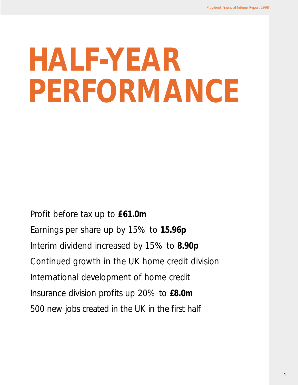# **HALF-YEAR PERFORMANCE**

Profit before tax up to **£61.0m** Earnings per share up by 15% to **15.96p** Interim dividend increased by 15% to **8.90p** Continued growth in the UK home credit division International development of home credit Insurance division profits up 20% to **£8.0m** 500 new jobs created in the UK in the first half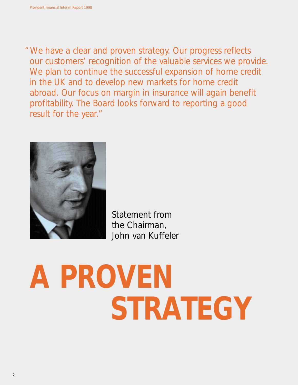"We have a clear and proven strategy. Our progress reflects our customers' recognition of the valuable services we provide. We plan to continue the successful expansion of home credit in the UK and to develop new markets for home credit abroad. Our focus on margin in insurance will again benefit profitability. The Board looks forward to reporting a good result for the year."



Statement from the Chairman, John van Kuffeler

# **A PROVEN STRATEGY**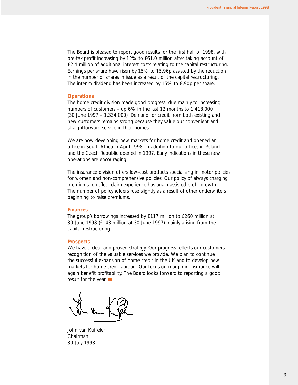The Board is pleased to report good results for the first half of 1998, with pre-tax profit increasing by 12% to £61.0 million after taking account of £2.4 million of additional interest costs relating to the capital restructuring. Earnings per share have risen by 15% to 15.96p assisted by the reduction in the number of shares in issue as a result of the capital restructuring. The interim dividend has been increased by 15% to 8.90p per share.

#### **Operations**

The home credit division made good progress, due mainly to increasing numbers of customers – up 6% in the last 12 months to 1,418,000 (30 June 1997 – 1,334,000). Demand for credit from both existing and new customers remains strong because they value our convenient and straightforward service in their homes.

We are now developing new markets for home credit and opened an office in South Africa in April 1998, in addition to our offices in Poland and the Czech Republic opened in 1997. Early indications in these new operations are encouraging.

The insurance division offers low-cost products specialising in motor policies for women and non-comprehensive policies. Our policy of always charging premiums to reflect claim experience has again assisted profit growth. The number of policyholders rose slightly as a result of other underwriters beginning to raise premiums.

#### **Finances**

The group's borrowings increased by £117 million to £260 million at 30 June 1998 (£143 million at 30 June 1997) mainly arising from the capital restructuring.

#### **Prospects**

We have a clear and proven strategy. Our progress reflects our customers' recognition of the valuable services we provide. We plan to continue the successful expansion of home credit in the UK and to develop new markets for home credit abroad. Our focus on margin in insurance will again benefit profitability. The Board looks forward to reporting a good result for the year.

John van Kuffeler Chairman 30 July 1998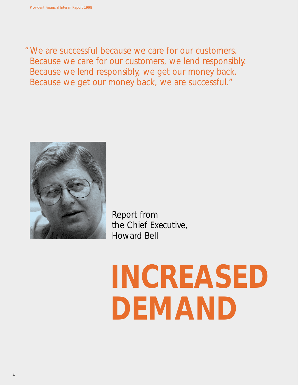"We are successful because we care for our customers. Because we care for our customers, we lend responsibly. Because we lend responsibly, we get our money back. Because we get our money back, we are successful."



Report from the Chief Executive, Howard Bell

# **INCREASED DEMAND**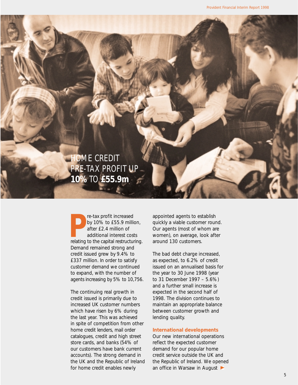HOME CREDIT PRE-TAX PROFIT UP **10%** TO **£55.9m**

**P** re-tax profit increased<br>by 10% to £55.9 million,<br>after £2.4 million of<br>additional interest costs<br>relating to the capital restructuring. re-tax profit increased by 10% to £55.9 million, after £2.4 million of additional interest costs Demand remained strong and credit issued grew by 9.4% to £337 million. In order to satisfy customer demand we continued to expand, with the number of agents increasing by 5% to 10,756.

The continuing real growth in credit issued is primarily due to increased UK customer numbers which have risen by 6% during the last year. This was achieved in spite of competition from other home credit lenders, mail order catalogues, credit and high street store cards, and banks (54% of our customers have bank current accounts). The strong demand in the UK and the Republic of Ireland for home credit enables newly

appointed agents to establish quickly a viable customer round. Our agents (most of whom are women), on average, look after around 130 customers.

The bad debt charge increased, as expected, to 6.2% of credit issued on an annualised basis for the year to 30 June 1998 (year to 31 December 1997 – 5.6%) and a further small increase is expected in the second half of 1998. The division continues to maintain an appropriate balance between customer growth and lending quality.

#### **International developments**

Our new international operations reflect the expected customer demand for our popular home credit service outside the UK and the Republic of Ireland. We opened an office in Warsaw in August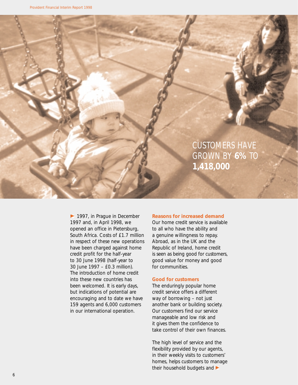

► 1997, in Prague in December 1997 and, in April 1998, we opened an office in Pietersburg, South Africa. Costs of £1.7 million in respect of these new operations have been charged against home credit profit for the half-year to 30 June 1998 (half-year to 30 June 1997 – £0.3 million). The introduction of home credit into these new countries has been welcomed. It is early days, but indications of potential are encouraging and to date we have 159 agents and 6,000 customers in our international operation.

#### **Reasons for increased demand**

Our home credit service is available to all who have the ability and a genuine willingness to repay. Abroad, as in the UK and the Republic of Ireland, home credit is seen as being good for customers, good value for money and good for communities.

#### **Good for customers**

The enduringly popular home credit service offers a different way of borrowing – not just another bank or building society. Our customers find our service manageable and low risk and it gives them the confidence to take control of their own finances.

The high level of service and the flexibility provided by our agents, in their weekly visits to customers' homes, helps customers to manage their household budgets and  $\blacktriangleright$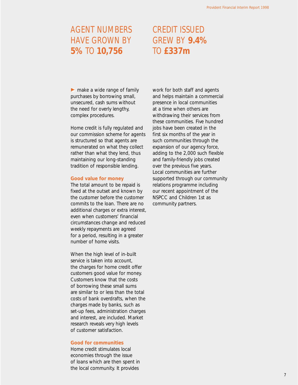## AGENT NUMBERS HAVE GROWN BY **5%** TO **10,756**

## CREDIT ISSUED GREW BY **9.4%**  TO **£337m**

 $\blacktriangleright$  make a wide range of family purchases by borrowing small, unsecured, cash sums without the need for overly lengthy, complex procedures.

Home credit is fully regulated and our commission scheme for agents is structured so that agents are remunerated on what they collect rather than what they lend, thus maintaining our long-standing tradition of responsible lending.

#### **Good value for money**

The total amount to be repaid is fixed at the outset and known by the customer before the customer commits to the loan. There are no additional charges or extra interest, even when customers' financial circumstances change and reduced weekly repayments are agreed for a period, resulting in a greater number of home visits.

When the high level of in-built service is taken into account, the charges for home credit offer customers good value for money. Customers know that the costs of borrowing these small sums are similar to or less than the total costs of bank overdrafts, when the charges made by banks, such as set-up fees, administration charges and interest, are included. Market research reveals very high levels of customer satisfaction.

#### **Good for communities**

Home credit stimulates local economies through the issue of loans which are then spent in the local community. It provides

work for both staff and agents and helps maintain a commercial presence in local communities at a time when others are withdrawing their services from these communities. Five hundred jobs have been created in the first six months of the year in such communities through the expansion of our agency force, adding to the 2,000 such flexible and family-friendly jobs created over the previous five years. Local communities are further supported through our community relations programme including our recent appointment of the NSPCC and Children 1st as community partners.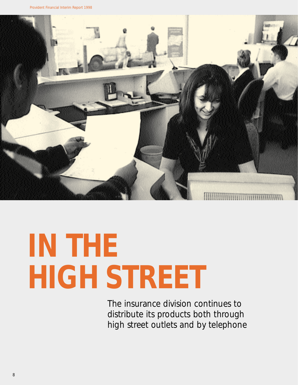

## **IN THE HIGH STREET**

The insurance division continues to distribute its products both through high street outlets and by telephone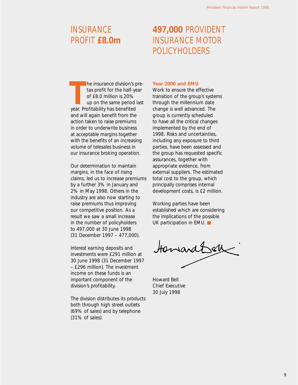## **INSURANCE** PROFIT **£8.0m**

## **497,000** PROVIDENT INSURANCE MOTOR POLICYHOLDERS

**THE SERVING SPRANCE THE SAMPLE STARK SERVIS SPRANCE SPRANCE SPRANCE SPRANCE SPRANCE SPRANCE SPRANCE SPRANCE SPRANCE SPRANCE SPRANCE SPRANCE SPRANCE SPRANCE SPRANCE SPRANCE SPRANCE SPRANCE SPRANCE SPRANCE SPRANCE SPRANCE S** he insurance division's pretax profit for the half-year of £8.0 million is 20% up on the same period last and will again benefit from the action taken to raise premiums in order to underwrite business at acceptable margins together with the benefits of an increasing volume of telesales business in our insurance broking operation.

Our determination to maintain margins, in the face of rising claims, led us to increase premiums by a further 3% in January and 2% in May 1998. Others in the industry are also now starting to raise premiums thus improving our competitive position. As a result we saw a small increase in the number of policyholders to 497,000 at 30 June 1998 (31 December 1997 – 477,000).

Interest earning deposits and investments were £291 million at 30 June 1998 (31 December 1997 – £296 million). The investment income on these funds is an important component of the division's profitability.

The division distributes its products both through high street outlets (69% of sales) and by telephone (31% of sales).

#### **Year 2000 and EMU**

Work to ensure the effective transition of the group's systems through the millennium date change is well advanced. The group is currently scheduled to have all the critical changes implemented by the end of 1998. Risks and uncertainties, including any exposure to third parties, have been assessed and the group has requested specific assurances, together with appropriate evidence, from external suppliers. The estimated total cost to the group, which principally comprises internal development costs, is £2 million.

Working parties have been established which are considering the implications of the possible UK participation in EMU.

towardbell

Howard Bell Chief Executive 30 July 1998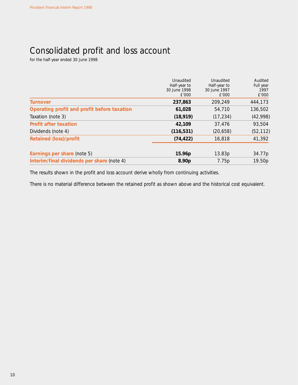## Consolidated profit and loss account

for the half-year ended 30 June 1998

|                                             | Unaudited          | Unaudited    | Audited   |
|---------------------------------------------|--------------------|--------------|-----------|
|                                             | Half-year to       | Half-year to | Full year |
|                                             | 30 June 1998       | 30 June 1997 | 1997      |
|                                             | f'000              | f'000        | £'000     |
| <b>Turnover</b>                             | 237.863            | 209,249      | 444.173   |
| Operating profit and profit before taxation | 61.028             | 54,710       | 136,502   |
| Taxation (note 3)                           | (18.919)           | (17.234)     | (42,998)  |
| <b>Profit after taxation</b>                | 42,109             | 37.476       | 93,504    |
| Dividends (note 4)                          | (116, 531)         | (20, 658)    | (52, 112) |
| <b>Retained (loss)/profit</b>               | (74, 422)          | 16,818       | 41,392    |
|                                             |                    |              |           |
| Earnings per share (note 5)                 | 15.96 <sub>p</sub> | 13.83p       | 34.77p    |
| Interim/final dividends per share (note 4)  | 8.90 <sub>p</sub>  | 7.75p        | 19.50p    |

The results shown in the profit and loss account derive wholly from continuing activities.

There is no material difference between the retained profit as shown above and the historical cost equivalent.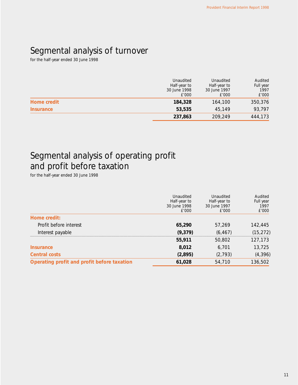## Segmental analysis of turnover

for the half-year ended 30 June 1998

|                  | Unaudited<br>Half-year to<br>30 June 1998<br>£'000 | Unaudited<br>Half-year to<br>30 June 1997<br>£'000 | Audited<br>Full year<br>1997<br>£'000 |
|------------------|----------------------------------------------------|----------------------------------------------------|---------------------------------------|
| Home credit      | 184,328                                            | 164,100                                            | 350,376                               |
| <b>Insurance</b> | 53,535                                             | 45,149                                             | 93.797                                |
|                  | 237,863                                            | 209,249                                            | 444,173                               |

## Segmental analysis of operating profit and profit before taxation

for the half-year ended 30 June 1998

|                                             | Unaudited<br>Half-year to<br>30 June 1998<br>£'000 | Unaudited<br>Half-year to<br>30 June 1997<br>f'000 | Audited<br>Full year<br>1997<br>£'000 |
|---------------------------------------------|----------------------------------------------------|----------------------------------------------------|---------------------------------------|
| Home credit:                                |                                                    |                                                    |                                       |
| Profit before interest                      | 65,290                                             | 57.269                                             | 142,445                               |
| Interest payable                            | (9,379)                                            | (6, 467)                                           | (15, 272)                             |
|                                             | 55,911                                             | 50,802                                             | 127,173                               |
| <b>Insurance</b>                            | 8,012                                              | 6,701                                              | 13.725                                |
| <b>Central costs</b>                        | (2,895)                                            | (2, 793)                                           | (4, 396)                              |
| Operating profit and profit before taxation | 61,028                                             | 54,710                                             | 136,502                               |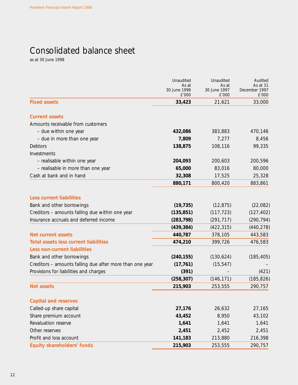## Consolidated balance sheet

as at 30 June 1998

|                                                          | Unaudited<br>As at<br>30 June 1998<br>£'000 | Unaudited<br>As at<br>30 June 1997<br>£'000 | Audited<br>As at 31<br>December 1997<br>£'000 |
|----------------------------------------------------------|---------------------------------------------|---------------------------------------------|-----------------------------------------------|
| <b>Fixed assets</b>                                      | 33,423                                      | 21,621                                      | 33,000                                        |
| <b>Current assets</b>                                    |                                             |                                             |                                               |
| Amounts receivable from customers                        |                                             |                                             |                                               |
| - due within one year                                    | 432,086                                     | 383,883                                     | 470,146                                       |
| - due in more than one year                              | 7,809                                       | 7,277                                       | 8,456                                         |
| Debtors                                                  | 138,875                                     | 108,116                                     | 99,335                                        |
| Investments                                              |                                             |                                             |                                               |
| - realisable within one year                             | 204,093                                     | 200,603                                     | 200,596                                       |
| - realisable in more than one year                       | 65,000                                      | 83,016                                      | 80,000                                        |
| Cash at bank and in hand                                 | 32,308                                      | 17,525                                      | 25,328                                        |
|                                                          | 880,171                                     | 800,420                                     | 883,861                                       |
| <b>Less current liabilities</b>                          |                                             |                                             |                                               |
| Bank and other borrowings                                | (19, 735)                                   | (12, 875)                                   | (22,082)                                      |
| Creditors - amounts falling due within one year          | (135, 851)                                  | (117, 723)                                  | (127, 402)                                    |
| Insurance accruals and deferred income                   | (283, 798)                                  | (291, 717)                                  | (290, 794)                                    |
|                                                          | (439, 384)                                  | (422, 315)                                  | (440, 278)                                    |
| <b>Net current assets</b>                                | 440,787                                     | 378,105                                     | 443,583                                       |
| <b>Total assets less current liabilities</b>             | 474,210                                     | 399,726                                     | 476,583                                       |
| <b>Less non-current liabilities</b>                      |                                             |                                             |                                               |
| Bank and other borrowings                                | (240, 155)                                  | (130, 624)                                  | (185, 405)                                    |
| Creditors - amounts falling due after more than one year | (17, 761)                                   | (15, 547)                                   |                                               |
| Provisions for liabilities and charges                   | (391)                                       |                                             | (421)                                         |
|                                                          | (258, 307)                                  | (146, 171)                                  | (185, 826)                                    |
| <b>Net assets</b>                                        | 215,903                                     | 253,555                                     | 290,757                                       |
|                                                          |                                             |                                             |                                               |
| <b>Capital and reserves</b>                              |                                             |                                             |                                               |
| Called-up share capital                                  | 27,176                                      | 26,632                                      | 27,165                                        |
| Share premium account                                    | 43,452                                      | 8,950                                       | 43,102                                        |
| Revaluation reserve                                      | 1,641                                       | 1,641                                       | 1,641                                         |
| Other reserves                                           | 2,451                                       | 2,452                                       | 2,451                                         |
| Profit and loss account                                  | 141,183                                     | 213,880                                     | 216,398                                       |
| <b>Equity shareholders' funds</b>                        | 215,903                                     | 253,555                                     | 290,757                                       |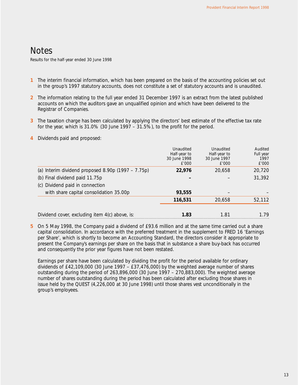## **Notes**

Results for the half-year ended 30 June 1998

- **1** The interim financial information, which has been prepared on the basis of the accounting policies set out in the group's 1997 statutory accounts, does not constitute a set of statutory accounts and is unaudited.
- **2** The information relating to the full year ended 31 December 1997 is an extract from the latest published accounts on which the auditors gave an unqualified opinion and which have been delivered to the Registrar of Companies.
- **3** The taxation charge has been calculated by applying the directors' best estimate of the effective tax rate for the year, which is  $31.0\%$  (30 June 1997 –  $31.5\%$ ), to the profit for the period.
- **4** Dividends paid and proposed:

|                                                      | Unaudited<br>Half-year to<br>30 June 1998<br>£'000 | Unaudited<br>Half-year to<br>30 June 1997<br>f'000 | Audited<br>Full year<br>1997<br>£'000 |
|------------------------------------------------------|----------------------------------------------------|----------------------------------------------------|---------------------------------------|
| (a) Interim dividend proposed $8.90p$ (1997 – 7.75p) | 22,976                                             | 20,658                                             | 20,720                                |
| (b) Final dividend paid 11.75p                       |                                                    |                                                    | 31,392                                |
| (c) Dividend paid in connection                      |                                                    |                                                    |                                       |
| with share capital consolidation 35.00p              | 93,555                                             |                                                    |                                       |
|                                                      | 116,531                                            | 20,658                                             | 52,112                                |
| Dividend cover, excluding item 4(c) above, is:       | 1.83                                               | 1.81                                               | 1.79                                  |

**5** On 5 May 1998, the Company paid a dividend of £93.6 million and at the same time carried out a share capital consolidation. In accordance with the preferred treatment in the supplement to FRED 16 'Earnings per Share', which is shortly to become an Accounting Standard, the directors consider it appropriate to present the Company's earnings per share on the basis that in substance a share buy-back has occurred and consequently the prior year figures have not been restated.

Earnings per share have been calculated by dividing the profit for the period available for ordinary dividends of £42,109,000 (30 June 1997 – £37,476,000) by the weighted average number of shares outstanding during the period of 263,896,000 (30 June 1997 – 270,883,000). The weighted average number of shares outstanding during the period has been calculated after excluding those shares in issue held by the QUEST (4,226,000 at 30 June 1998) until those shares vest unconditionally in the group's employees.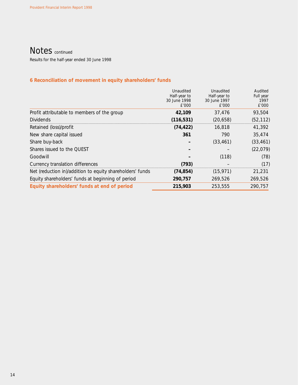### Notes continued

Results for the half-year ended 30 June 1998

### **6 Reconciliation of movement in equity shareholders' funds**

|                                                           | Unaudited<br>Half-year to<br>30 June 1998<br>£'000 | Unaudited<br>Half-year to<br>30 June 1997<br>£'000 | Audited<br>Full year<br>1997<br>£'000 |
|-----------------------------------------------------------|----------------------------------------------------|----------------------------------------------------|---------------------------------------|
| Profit attributable to members of the group               | 42,109                                             | 37,476                                             | 93,504                                |
| <b>Dividends</b>                                          | (116, 531)                                         | (20, 658)                                          | (52, 112)                             |
| Retained (loss)/profit                                    | (74, 422)                                          | 16,818                                             | 41,392                                |
| New share capital issued                                  | 361                                                | 790                                                | 35,474                                |
| Share buy-back                                            |                                                    | (33, 461)                                          | (33, 461)                             |
| Shares issued to the QUEST                                |                                                    |                                                    | (22, 079)                             |
| Goodwill                                                  |                                                    | (118)                                              | (78)                                  |
| Currency translation differences                          | (793)                                              |                                                    | (17)                                  |
| Net (reduction in)/addition to equity shareholders' funds | (74, 854)                                          | (15, 971)                                          | 21,231                                |
| Equity shareholders' funds at beginning of period         | 290,757                                            | 269,526                                            | 269,526                               |
| Equity shareholders' funds at end of period               | 215,903                                            | 253,555                                            | 290.757                               |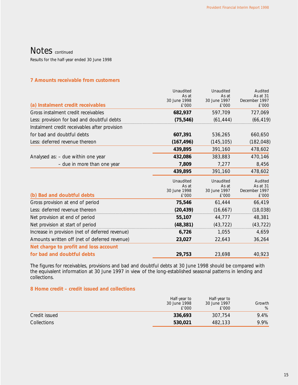## Notes continued

Results for the half-year ended 30 June 1998

#### **7 Amounts receivable from customers**

|                                                 | Unaudited             | Unaudited             | Audited                   |
|-------------------------------------------------|-----------------------|-----------------------|---------------------------|
|                                                 | As at<br>30 June 1998 | As at<br>30 June 1997 | As at 31<br>December 1997 |
| (a) Instalment credit receivables               | £'000                 | £'000                 | £'000                     |
| Gross instalment credit receivables             | 682,937               | 597,709               | 727,069                   |
| Less: provision for bad and doubtful debts      | (75, 546)             | (61, 444)             | (66, 419)                 |
| Instalment credit receivables after provision   |                       |                       |                           |
| for bad and doubtful debts                      | 607,391               | 536,265               | 660,650                   |
| Less: deferred revenue thereon                  | (167, 496)            | (145, 105)            | (182, 048)                |
|                                                 | 439,895               | 391,160               | 478,602                   |
| Analysed as: - due within one year              | 432,086               | 383,883               | 470,146                   |
| - due in more than one year                     | 7,809                 | 7,277                 | 8,456                     |
|                                                 | 439,895               | 391,160               | 478,602                   |
|                                                 | Unaudited             | Unaudited             | Audited                   |
|                                                 | As at                 | As at                 | As at 31                  |
| (b) Bad and doubtful debts                      | 30 June 1998<br>£'000 | 30 June 1997<br>£'000 | December 1997<br>£'000    |
| Gross provision at end of period                | 75,546                | 61,444                | 66,419                    |
| Less: deferred revenue thereon                  | (20, 439)             | (16, 667)             | (18, 038)                 |
| Net provision at end of period                  | 55,107                | 44,777                | 48,381                    |
| Net provision at start of period                | (48, 381)             | (43, 722)             | (43, 722)                 |
| Increase in provision (net of deferred revenue) | 6,726                 | 1,055                 | 4,659                     |
| Amounts written off (net of deferred revenue)   | 23,027                | 22,643                | 36,264                    |
| Net charge to profit and loss account           |                       |                       |                           |
| for bad and doubtful debts                      | 29,753                | 23,698                | 40,923                    |

The figures for receivables, provisions and bad and doubtful debts at 30 June 1998 should be compared with the equivalent information at 30 June 1997 in view of the long-established seasonal patterns in lending and collections.

### **8 Home credit – credit issued and collections**

|               | Half-year to<br>30 June 1998<br>£'000 | Half-year to<br>30 June 1997<br>£'000 | Growth<br>% |
|---------------|---------------------------------------|---------------------------------------|-------------|
| Credit issued | 336.693                               | 307,754                               | 9.4%        |
| Collections   | 530,021                               | 482.133                               | 9.9%        |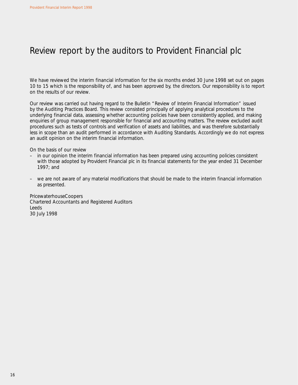## Review report by the auditors to Provident Financial plc

We have reviewed the interim financial information for the six months ended 30 June 1998 set out on pages 10 to 15 which is the responsibility of, and has been approved by, the directors. Our responsibility is to report on the results of our review.

Our review was carried out having regard to the Bulletin "Review of Interim Financial Information" issued by the Auditing Practices Board. This review consisted principally of applying analytical procedures to the underlying financial data, assessing whether accounting policies have been consistently applied, and making enquiries of group management responsible for financial and accounting matters. The review excluded audit procedures such as tests of controls and verification of assets and liabilities, and was therefore substantially less in scope than an audit performed in accordance with Auditing Standards. Accordingly we do not express an audit opinion on the interim financial information.

On the basis of our review

- in our opinion the interim financial information has been prepared using accounting policies consistent with those adopted by Provident Financial plc in its financial statements for the year ended 31 December 1997; and
- we are not aware of any material modifications that should be made to the interim financial information as presented.

PricewaterhouseCoopers Chartered Accountants and Registered Auditors Leeds 30 July 1998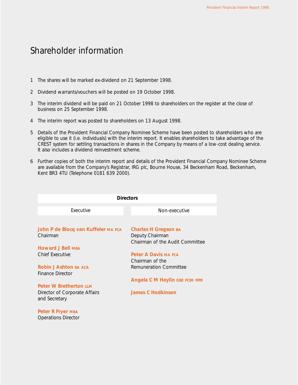### Shareholder information

- 1 The shares will be marked ex-dividend on 21 September 1998.
- 2 Dividend warrants/vouchers will be posted on 19 October 1998.
- 3 The interim dividend will be paid on 21 October 1998 to shareholders on the register at the close of business on 25 September 1998.
- 4 The interim report was posted to shareholders on 13 August 1998.
- 5 Details of the Provident Financial Company Nominee Scheme have been posted to shareholders who are eligible to use it (i.e. individuals) with the interim report. It enables shareholders to take advantage of the CREST system for settling transactions in shares in the Company by means of a low-cost dealing service. It also includes a dividend reinvestment scheme.
- 6 Further copies of both the interim report and details of the Provident Financial Company Nominee Scheme are available from the Company's Registrar, IRG plc, Bourne House, 34 Beckenham Road, Beckenham, Kent BR3 4TU (Telephone 0181 639 2000).

| <b>Directors</b>                                                               |                                                                            |  |
|--------------------------------------------------------------------------------|----------------------------------------------------------------------------|--|
| Executive                                                                      | Non-executive                                                              |  |
|                                                                                |                                                                            |  |
| John P de Blocq van Kuffeler MA FCA<br>Chairman                                | Charles H Gregson BA<br>Deputy Chairman<br>Chairman of the Audit Committee |  |
| <b>Howard J Bell MBA</b>                                                       |                                                                            |  |
| Chief Executive                                                                | Peter A Davis MA FCA<br>Chairman of the                                    |  |
| <b>Robin J Ashton BA ACA</b><br>Finance Director                               | Remuneration Committee                                                     |  |
|                                                                                | <b>Angela C M Heylin OBE FCIM FIPR</b>                                     |  |
| <b>Peter W Bretherton UM</b><br>Director of Corporate Affairs<br>and Secretary | James C Hodkinson                                                          |  |
| Peter R Fryer MBA<br><b>Operations Director</b>                                |                                                                            |  |